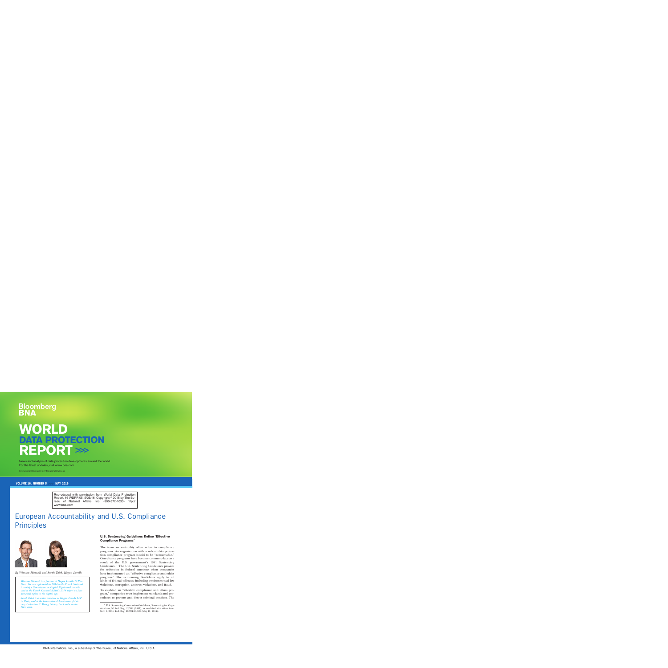# oomberg

## **WORLD PROTECTION REPORT >>>**

News and analysis of data protection developments around the world. For the latest updates, visit www.bna.com

International Information for International Business

VOLUME 16, NUMBER 5 >>> MAY 2016

Reproduced with permission from World Data Protection Report, 16 WDPR 05, 5/26/16. Copyright  $\textdegree$  2016 by The Bureau of National Affairs, Inc. (800-372-1033) http:// www.bna.com

### European Accountability and U.S. Compliance **Principles**



*By Winston Maxwell and Sarah Taı¨eb, Hogan Lovells*

*Winston Maxwell is a partner at Hogan Lovells LLP in Paris. He was appointed in 2014 to the French National Assembly's Commission on Digital Rights and contributed to the French Counseil d'Etat's 2014 report on fundamental rights in the digital age.*

Sarah Taïeb is a senior associate at Hogan Lovells LLP *in Paris, and is the International Association of Privacy Professionals' Young Privacy Pro Leader in the Paris area.*

#### U.S. Sentencing Guidelines Define 'Effective Compliance Programs'

The term accountability often refers to compliance programs: An organisation with a robust data protection compliance program is said to be ''accountable.'' Compliance programs have become commonplace as a result of the U.S. government's 1991 Sentencing Guidelines.<sup>1</sup> The U.S. Sentencing Guidelines provide for reduction in federal sanctions when companies have implemented an "effective compliance and ethics program.'' The Sentencing Guidelines apply to all kinds of federal offenses, including environmental law violations, corruption, antitrust violations, and fraud.

To establish an ''effective compliance and ethics program,'' companies must implement standards and procedures to prevent and detect criminal conduct. The

<sup>&</sup>lt;sup>1</sup> U.S. Sentencing Commission Guidelines, Sentencing for Organizations, 56 Fed. Reg. 22,762 (1991), as modified with effect from Nov. 1, 2004, Fed. Reg. 28,994-29,028 (May 19, 2004).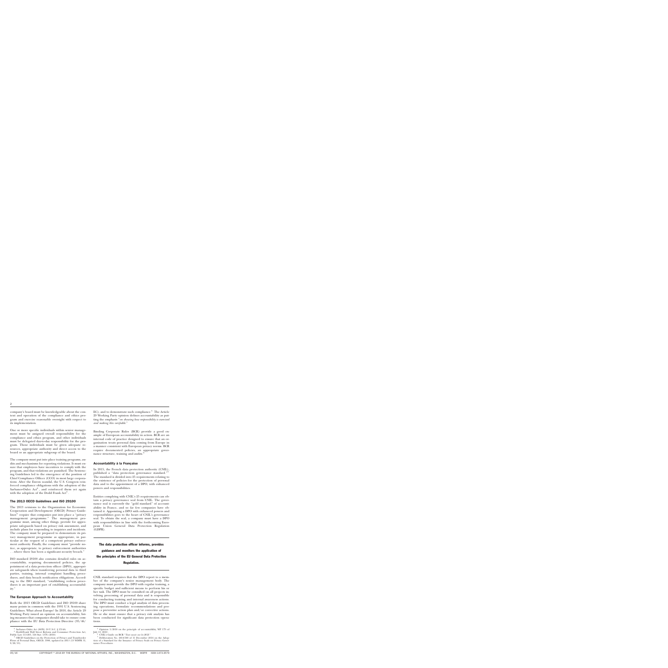company's board must be knowledgeable about the content and operation of the compliance and ethics program and exercise reasonable oversight with respect to its implementation.

One or more specific individuals within senior management must be assigned overall responsibility for the compliance and ethics program, and other individuals must be delegated day-to-day responsibility for the program. Those individuals must be given adequate resources, appropriate authority and direct access to the board or an appropriate subgroup of the board.

The company must put into place training programs, audits and mechanisms for reporting violations. It must ensure that employees have incentives to comply with the program, and that violations are punished. The Sentencing Guidelines led to the emergence of the position of Chief Compliance Officer (CCO) in most large corporations. After the Enron scandal, the U.S. Congress reinforced compliance obligations with the adoption of the Sarbanes-Oxley Act<sup>2</sup>, and reinforced them yet again with the adoption of the Dodd Frank  $Act<sup>3</sup>$ .

#### The 2013 OECD Guidelines and ISO 29100

The 2013 revisions to the Organization for Economic Cooperation and Development (OECD) Privacy Guidelines $4$  require that companies put into place a "privacy" management programme.'' The management programme must, among other things, provide for appropriate safeguards based on privacy risk assessment, and include plans for responding to inquiries and incidents. The company must be prepared to demonstrate its privacy management programme as appropriate, in particular at the request of a competent privacy enforcement authority. Finally, the company must ''provide notice, as appropriate, to privacy enforcement authorities . . .where there has been a significant security breach.''

ISO standard 29100 also contains detailed rules on accountability, requiring documented policies, the appointment of a data protection officer (DPO), appropriate safeguards when transferring personal data to third parties, training, internal complaint handling procedures, and data breach notification obligations. According to the ISO standard, "establishing redress procedures is an important part of establishing accountability.''

#### The European Approach to Accountability

Both the 2013 OECD Guidelines and ISO 29100 share many points in common with the 1991 U.S. Sentencing Guidelines. What about Europe? In 2010, the Article 29 Working Party issued an opinion on accountability, listing measures that companies should take to ensure compliance with the EU Data Protection Directive (95/46/

 $EC$ ), and to demonstrate such compliance.<sup>5</sup> The Article 29 Working Party opinion defines accountability as putting the emphasis ''*on showing how responsibility is exercised and making this verifiable*.''

Binding Corporate Rules (BCR) provide a good example of European accountability in action. BCR are an internal code of practice designed to ensure that an organisation treats personal data coming from Europe in a manner consistent with European privacy norms. BCR require documented policies, an appropriate governance structure, training and audits.<sup>6</sup>

#### Accountability à la Française

In 2015, the French data protection authority (CNIL), published a "data protection governance standard." The standard is divided into 25 requirements relating to the existence of policies for the protection of personal data and to the appointment of a DPO, with enhanced powers and responsibilities.

Entities complying with CNIL's 25 requirements can obtain a privacy governance seal from CNIL. The governance seal is currently the ''gold standard'' of accountability in France, and so far few companies have obtained it. Appointing a DPO with enhanced powers and responsibilities goes to the heart of CNIL's governance seal. To obtain the seal, a company must have a DPO with responsibilities in line with the forthcoming European Union General Data Protection Regulation (GDPR).

The data protection officer informs, provides guidance and monitors the application of the principles of the EU General Data Protection Regulation.

CNIL standard requires that the DPO report to a member of the company's senior management body. The company must provide the DPO with regular training, a specific budget and sufficient means to perform his or her task. The DPO must be consulted on all projects involving processing of personal data and is responsible for conducting training and internal awareness actions. The DPO must conduct a legal analysis of data processing operations, formulate recommendations and propose a preventive action plan and/or corrective actions. He or she must ensure that a privacy risk analysis has been conducted for significant data protection operations.

 $^2$  Sarbanes Oxley Act (SOX) 18 U.S.C. § 1514A  $^3$  Dodd-Frank Wall Street Reform and Consumer Protection Act, Public Law 111-203, 124 Stat. 1376 (2010)

OECD Guidelines on the Protection of Privacy and Transborder Flows of Personal Data, OECD, 1980, updated in 2013 (13 WDPR 31,  $9/20/13$ .

 $^5$  Opinion  $3/2010$  on the principle of accountability, WP 173 of July 13, 2010 .

July 13, 2010 . <sup>6</sup> CNIL's Guide on BCR ''*[Tout savoir sur les BCR](http://src.bna.com/epJ)*.'' <sup>7</sup> [Deliberation No. 2014-500](http://www.legifrance.gouv.fr/jo_pdf.do?cidTexte=JORFTEXT000030073950) of 11 December 2014 on the Adop-

tion of a Standard for the Issuance of Privacy Seals on Privacy Governance Procedures .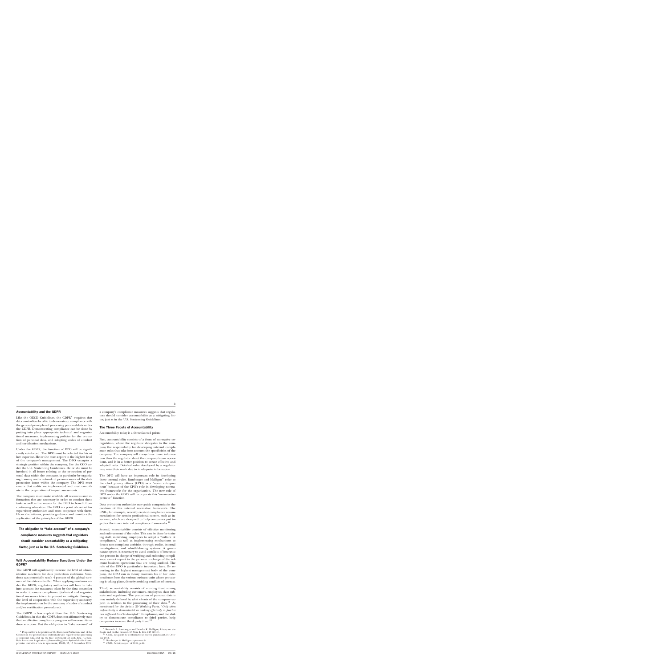#### Accountability and the GDPR

Like the OECD Guidelines, the  $GDPR<sup>8</sup>$  requires that data controllers be able to demonstrate compliance with the general principles of processing personal data under the GDPR. Demonstrating compliance can be done by putting into place appropriate technical and organisational measures, implementing policies for the protection of personal data, and adopting codes of conduct and certification mechanisms.

Under the GDPR, the function of DPO will be significantly reinforced. The DPO must be selected for his or her expertise. He or she must report to the highest level of the company's management. The DPO occupies a strategic position within the company, like the CCO under the U.S. Sentencing Guidelines. He or she must be involved in all issues relating to the protection of personal data within the company, in particular by organizing training and a network of persons aware of the data protection issues within the company. The DPO must ensure that audits are implemented and must contribute to the preparation of impact assessments.

The company must make available all resources and information that are necessary in order to conduct these tasks as well as the means for the DPO to benefit from continuing education. The DPO is a point of contact for supervisory authorities and must cooperate with them. He or she informs, provides guidance and monitors the application of the principles of the GDPR.

The obligation to ''take account'' of a company's compliance measures suggests that regulators should consider accountability as a mitigating factor, just as in the U.S. Sentencing Guidelines.

#### Will Accountability Reduce Sanctions Under the GDPR?

The GDPR will significantly increase the level of administrative sanctions for data protection violations. Sanctions can potentially reach 4 percent of the global turnover of the data controller. When applying sanctions under the GDPR, regulatory authorities will have to take into account the measures taken by the data controller in order to ensure compliance (technical and organisational measures taken to prevent or mitigate damages, the level of cooperation with the supervisory authority, the implementation by the company of codes of conduct and/or certification procedures).

The GDPR is less explicit than the U.S. Sentencing Guidelines, in that the GDPR does not affirmatively state that an effective compliance program will necessarily reduce sanctions. But the obligation to "take account" of a company's compliance measures suggests that regulators should consider accountability as a mitigating factor, just as in the U.S. Sentencing Guidelines.

#### The Three Facets of Accountability

Accountability today is a three-faceted prism:

First, accountability consists of a form of normative coregulation, where the regulator delegates to the company the responsibility for developing internal compliance rules that take into account the specificities of the company. The company will always have more information than the regulator about the company's own operations, and is in a better position to create effective and adapted rules. Detailed rules developed by a regulator may miss their mark due to inadequate information.

The DPO will have an important role in developing these internal rules. Bamberger and Mulligan<sup>9</sup> refer to the chief privacy officer (CPO) as a ''norm entrepreneur'' because of the CPO's role in developing normative frameworks for the organization. The new role of DPO under the GDPR will incorporate this "norm entrepreneur'' function.

Data protection authorities may guide companies in the creation of this internal normative framework. The CNIL, for example, recently created compliance recommendations for certain professional sectors, such as insurance, which are designed to help companies put together their own internal compliance frameworks.<sup>10</sup>

Second, accountability consists of effective monitoring and enforcement of the rules. This can be done by training staff, motivating employees to adopt a ''culture of compliance,'' as well as implementing mechanisms to detect non-compliant activities through audits, internal investigations, and whistleblowing systems. A governance system is necessary to avoid conflicts of interests: the persons in charge of verifying and enforcing compliance cannot report to the persons in charge of the relevant business operations that are being audited. The role of the DPO is particularly important here. By reporting to the highest management body of the company, the DPO can in theory maintain his or her independence from the various business units where processing is taking place, thereby avoiding conflicts of interest.

Third, accountability consists of creating trust among stakeholders, including customers, employees, data subjects and regulators. The protection of personal data is now mainly defined by what clients of the company expect in relation to the processing of their data.<sup>11</sup> As mentioned by the Article 29 Working Party, ''*Only when responsibility is demonstrated as working effectively in practice can sufficient trust be developed*.'' Compliance, and the ability to demonstrate compliance to third parties, help companies increase third party trust.<sup>12</sup>

<sup>8</sup> Proposal for a Regulation of the European Parliament and of the Council on the protection of individuals with regard to the processing of personal data and on the free movement of such data (General Data Protection Regulation) [first reading]—Analysis of the final compromise text with a view to agreement, 15039/15, 15 December 2015 .

<sup>9</sup> Kenneth A. Bamberger and Deirdre K. Mulligan, [Privacy on the](http://scholarship.law.berkeley.edu/facpubs/1305) [Books and on the Ground,](http://scholarship.law.berkeley.edu/facpubs/1305) 63 Stan. L. Rev. 247 (2010).<br><sup>10</sup> CNIL, Les packs de conformité: un succès grandissant, 21 Octo-

ber 2014. <sup>11</sup> Bamberger & Mulligan *supra* note 9. <sup>12</sup> CNIL, Activity report of 2014, p.42.